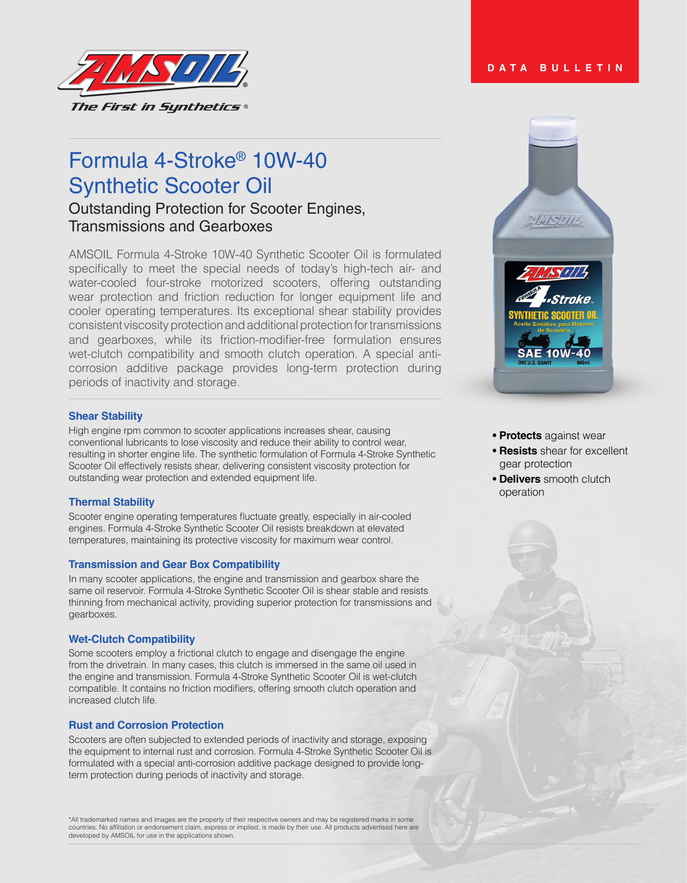

# Formula 4-Stroke® 10W-40 Synthetic Scooter Oil

# Outstanding Protection for Scooter Engines, Transmissions and Gearboxes

AMSOIL Formula 4-Stroke 10W-40 Synthetic Scooter Oil is formulated specifically to meet the special needs of today's high-tech air- and water-cooled four-stroke motorized scooters, offering outstanding wear protection and friction reduction for longer equipment life and cooler operating temperatures. Its exceptional shear stability provides consistent viscosity protection and additional protection for transmissions and gearboxes, while its friction-modifier-free formulation ensures wet-clutch compatibility and smooth clutch operation. A special anticorrosion additive package provides long-term protection during periods of inactivity and storage.

# **Shear Stability**

High engine rpm common to scooter applications increases shear, causing conventional lubricants to lose viscosity and reduce their ability to control wear, resulting in shorter engine life. The synthetic formulation of Formula 4-Stroke Synthetic Scooter Oil effectively resists shear, delivering consistent viscosity protection for outstanding wear protection and extended equipment life.

# **Thermal Stability**

Scooter engine operating temperatures fluctuate greatly, especially in air-cooled engines. Formula 4-Stroke Synthetic Scooter Oil resists breakdown at elevated temperatures, maintaining its protective viscosity for maximum wear control.

# **Transmission and Gear Box Compatibility**

In many scooter applications, the engine and transmission and gearbox share the same oil reservoir. Formula 4-Stroke Synthetic Scooter Oil is shear stable and resists thinning from mechanical activity, providing superior protection for transmissions and gearboxes.

# **Wet-Clutch Compatibility**

Some scooters employ a frictional clutch to engage and disengage the engine from the drivetrain. In many cases, this clutch is immersed in the same oil used in the engine and transmission. Formula 4-Stroke Synthetic Scooter Oil is wet-clutch compatible. It contains no friction modifiers, offering smooth clutch operation and increased clutch life.

# **Rust and Corrosion Protection**

Scooters are often subjected to extended periods of inactivity and storage, exposing the equipment to internal rust and corrosion. Formula 4-Stroke Synthetic Scooter Oil is formulated with a special anti-corrosion additive package designed to provide longterm protection during periods of inactivity and storage.

\*All trademarked names and images are the property of their respective owners and may be registered marks in some<br>countries. No affiliation or endorsement claim, express or implied, is made by their use. All products adver developed by AMSOIL for use in the applications shown.

# **DATA BULLETIN**



- **Protects** against wear
- **Resists** shear for excellent gear protection
- **Delivers** smooth clutch operation